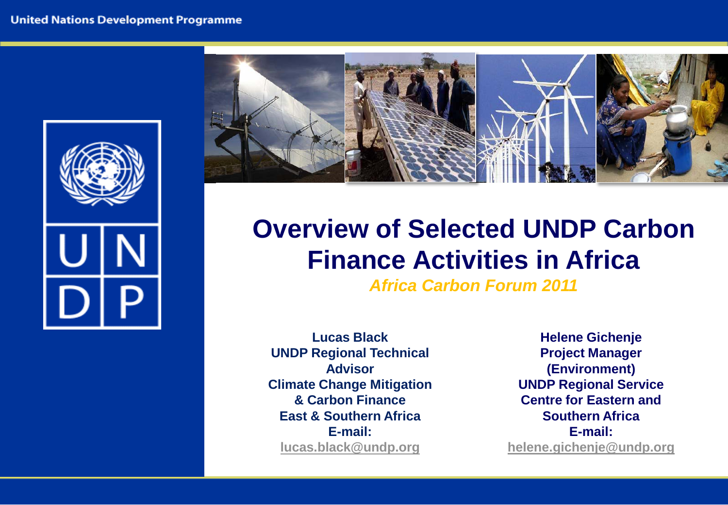



# **Overview of Selected UNDP Carbon Finance Activities in Africa**

*Africa Carbon Forum 2011* 

**Lucas Black UNDP Regional Technical Advisor Climate Change Mitigation & Carbon Finance East & Southern Africa E-mail: [lucas.black@undp.org](mailto:lucas.black@undp.org)**

**Helene Gichenje Project Manager (Environment) UNDP Regional Service Centre for Eastern and Southern Africa E-mail: [helene.gichenje@undp.org](mailto:helene.gichenje@undp.org)**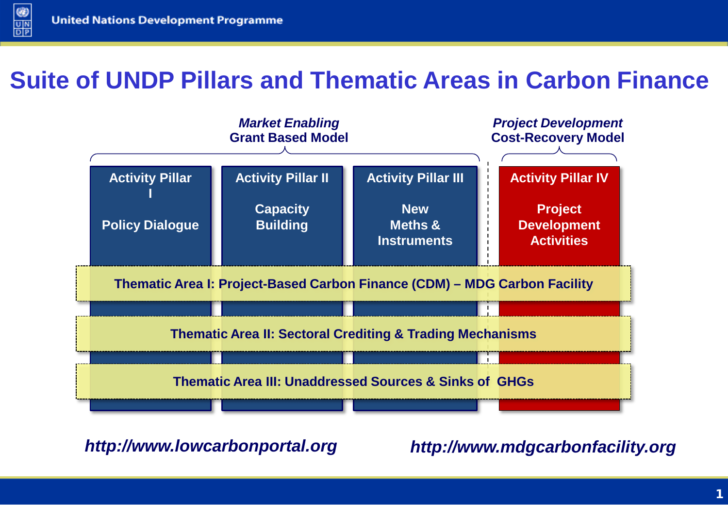$\circledcirc$ 

 $\frac{U}{D|P}$ 

## **Suite of UNDP Pillars and Thematic Areas in Carbon Finance**



*http://www.lowcarbonportal.org http://www.mdgcarbonfacility.org*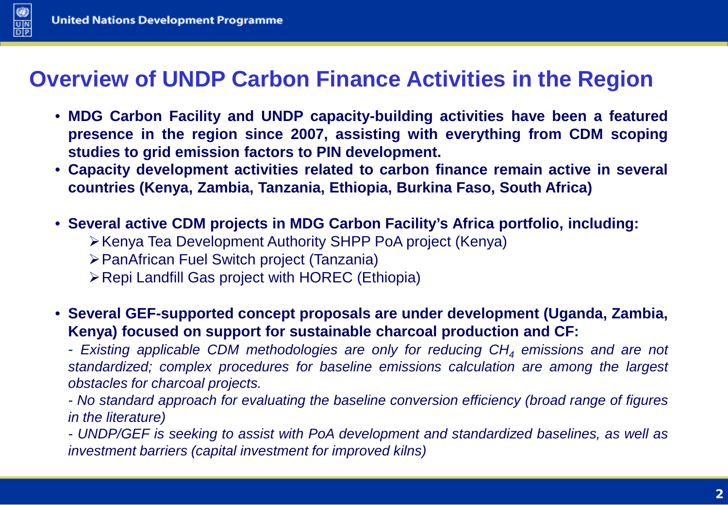



## **Overview of UNDP Carbon Finance Activities in the Region**

- **MDG Carbon Facility and UNDP capacity-building activities have been a featured presence in the region since 2007, assisting with everything from CDM scoping studies to grid emission factors to PIN development.**
- **Capacity development activities related to carbon finance remain active in several countries (Kenya, Zambia, Tanzania, Ethiopia, Burkina Faso, South Africa)**
- **Several active CDM projects in MDG Carbon Facility's Africa portfolio, including:**
	- Kenya Tea Development Authority SHPP PoA project (Kenya)
	- PanAfrican Fuel Switch project (Tanzania)
	- Repi Landfill Gas project with HOREC (Ethiopia)
- **Several GEF-supported concept proposals are under development (Uganda, Zambia, Kenya) focused on support for sustainable charcoal production and CF:**

- *Existing applicable CDM methodologies are only for reducing CH4 emissions and are not standardized; complex procedures for baseline emissions calculation are among the largest obstacles for charcoal projects.*

*- No standard approach for evaluating the baseline conversion efficiency (broad range of figures in the literature)*

*- UNDP/GEF is seeking to assist with PoA development and standardized baselines, as well as investment barriers (capital investment for improved kilns)*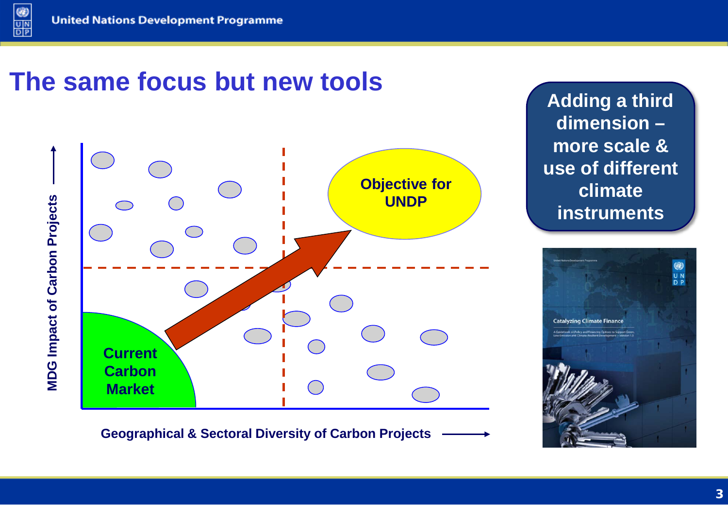$@$ 

 $\frac{1}{\frac{1}{\sqrt{2}}}$ 

# **The same focus but new tools**



**Adding a third dimension – more scale & use of different climate instruments**



**Geographical & Sectoral Diversity of Carbon Projects**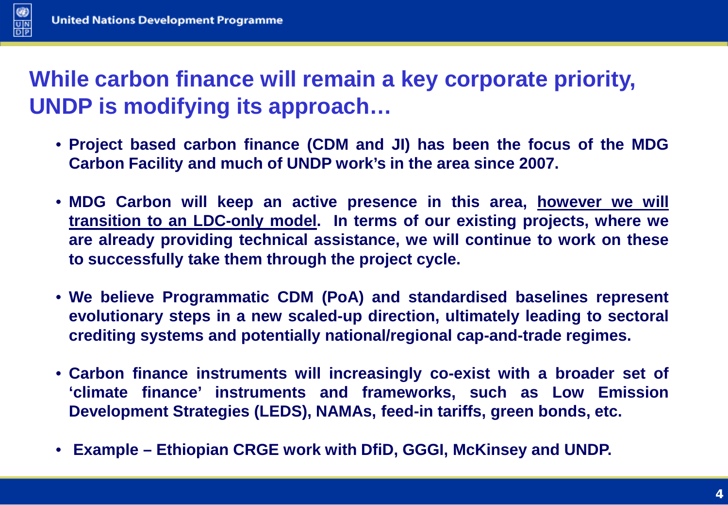

## **While carbon finance will remain a key corporate priority, UNDP is modifying its approach…**

- **Project based carbon finance (CDM and JI) has been the focus of the MDG Carbon Facility and much of UNDP work's in the area since 2007.**
- **MDG Carbon will keep an active presence in this area, however we will transition to an LDC-only model. In terms of our existing projects, where we are already providing technical assistance, we will continue to work on these to successfully take them through the project cycle.**
- **We believe Programmatic CDM (PoA) and standardised baselines represent evolutionary steps in a new scaled-up direction, ultimately leading to sectoral crediting systems and potentially national/regional cap-and-trade regimes.**
- **Carbon finance instruments will increasingly co-exist with a broader set of 'climate finance' instruments and frameworks, such as Low Emission Development Strategies (LEDS), NAMAs, feed-in tariffs, green bonds, etc.**
- **Example – Ethiopian CRGE work with DfiD, GGGI, McKinsey and UNDP.**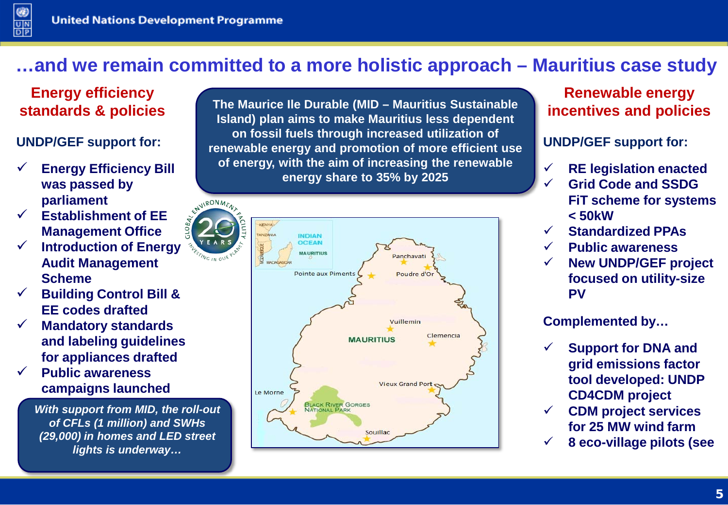### **…and we remain committed to a more holistic approach – Mauritius case study**

#### **Energy efficiency standards & policies**

#### **UNDP/GEF support for:**

- **Energy Efficiency Bill was passed by parliament**
- **Establishment of EE Management Office**
- **Introduction of Energy Audit Management Scheme**
- **Building Control Bill & EE codes drafted**
- **Mandatory standards and labeling guidelines for appliances drafted**
- **Public awareness campaigns launched**

*With support from MID, the roll-out of CFLs (1 million) and SWHs (29,000) in homes and LED street lights is underway…*

**The Maurice Ile Durable (MID – Mauritius Sustainable Island) plan aims to make Mauritius less dependent on fossil fuels through increased utilization of renewable energy and promotion of more efficient use of energy, with the aim of increasing the renewable energy share to 35% by 2025**



#### **Renewable energy incentives and policies**

**UNDP/GEF support for:**

- **RE legislation enacted**
- **Grid Code and SSDG FiT scheme for systems < 50kW**
- **Standardized PPAs**
- **Public awareness**
- **New UNDP/GEF project focused on utility-size PV**

**Complemented by…**

- **Support for DNA and grid emissions factor tool developed: UNDP CD4CDM project**
- **CDM project services for 25 MW wind farm**
- **8 eco-village pilots (see**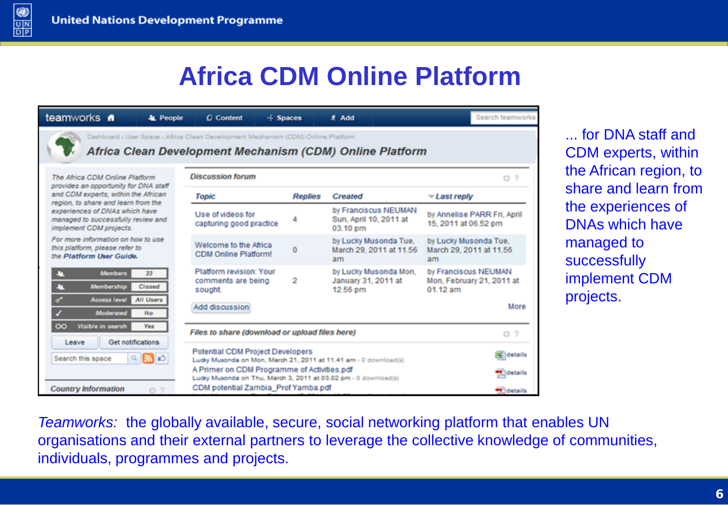$\frac{1}{\frac{1}{\sqrt{2}}}$ 

# **Africa CDM Online Platform**

| teamworks #<br>& People                                                                                                                               | C Content                                                                                                                                                                                   | $\div$ Spaces  | # Add                                                      | Search teamworks                                                |
|-------------------------------------------------------------------------------------------------------------------------------------------------------|---------------------------------------------------------------------------------------------------------------------------------------------------------------------------------------------|----------------|------------------------------------------------------------|-----------------------------------------------------------------|
|                                                                                                                                                       | Dashboard > User Space > Africa Clean Development Mechanism (CDM) Online Platform<br>Africa Clean Development Mechanism (CDM) Online Platform                                               |                |                                                            |                                                                 |
| The Africa CDM Online Platform<br>provides an opportunity for DNA staff<br>and CDM experts, within the African<br>region, to share and learn from the | <b>Discussion forum</b>                                                                                                                                                                     |                |                                                            | O <sub>2</sub>                                                  |
|                                                                                                                                                       | Topic                                                                                                                                                                                       | <b>Replies</b> | <b>Created</b>                                             | $\overline{\mathcal{L}}$ ast reply                              |
| experiences of DNAs which have<br>managed to successfully review and<br>implement CDM projects.                                                       | Use of videos for<br>capturing good practice                                                                                                                                                |                | by Franciscus NEUMAN<br>Sun, April 10, 2011 at<br>03.10 pm | by Annelise PARR Fri, April<br>15, 2011 at 06.52 pm             |
| For more information on how to use<br>this platform, please refer to<br>the Platform User Guide.                                                      | Welcome to the Africa<br><b>CDM Online Platform!</b>                                                                                                                                        | $\mathbf 0$    | by Lucky Musonda Tue.<br>March 29, 2011 at 11.56<br>am     | by Lucky Musonda Tue,<br>March 29, 2011 at 11.56<br>am          |
| <b>Members</b><br>23<br>ш<br>Membership<br>Closed<br>т                                                                                                | Platform revision: Your<br>comments are being<br>sought                                                                                                                                     | 2              | by Lucky Musonda Mon.<br>January 31, 2011 at<br>12.56 pm   | by Franciscus NEUMAN<br>Mon, February 21, 2011 at<br>$01.12$ am |
| ď<br>All Users<br><b>Access level</b><br>Moderated<br><b>No</b>                                                                                       | Add discussion                                                                                                                                                                              |                |                                                            | More                                                            |
| Visible in search<br>$\infty$<br>Yes                                                                                                                  | Files to share (download or upload files here)                                                                                                                                              |                |                                                            | O <sub>2</sub>                                                  |
| Get notifications<br>Leave<br>ுவல<br>Search this space                                                                                                | Potential CDM Project Developers<br>Ludy Musonda on Mon, March 21, 2011 at 11.41 am - 0 download(s)                                                                                         |                |                                                            | <b>Ed details</b>                                               |
| <b>Country Information</b><br>$\mathcal{D}$<br>Ö.                                                                                                     | A Primer on CDM Programme of Activities.pdf<br><b>Details</b><br>Ludky Musonda on Thu, March 3, 2011 at 03.02 pm - 0 download(s)<br>CDM potential Zambia_Prof Yamba.pdf<br><b>Madetails</b> |                |                                                            |                                                                 |

... for DNA staff and CDM experts, within the African region, to share and learn from the experiences of DNAs which have managed to successfully implement CDM projects.

*Teamworks:* the globally available, secure, social networking platform that enables UN organisations and their external partners to leverage the collective knowledge of communities, individuals, programmes and projects.